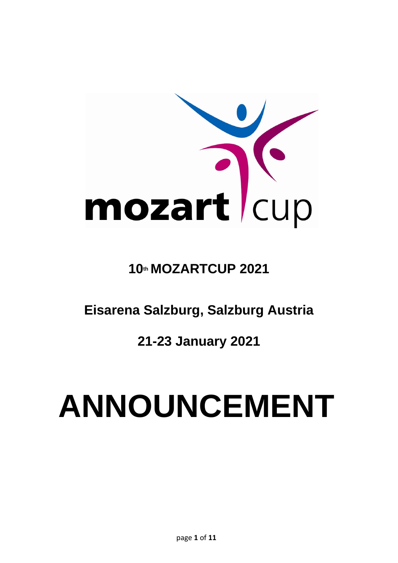

# **10th MOZARTCUP 2021**

**Eisarena Salzburg, Salzburg Austria** 

**21-23 January 2021**

# **ANNOUNCEMENT**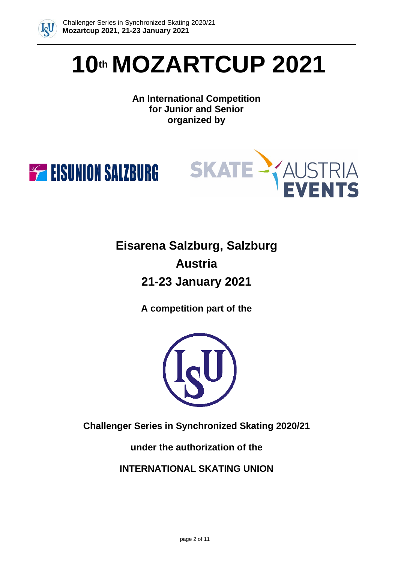

# **10th MOZARTCUP 2021**

# **An International Competition for Junior and Senior organized by**





**Eisarena Salzburg, Salzburg Austria 21-23 January 2021**

**A competition part of the**



**Challenger Series in Synchronized Skating 2020/21**

**under the authorization of the**

**INTERNATIONAL SKATING UNION**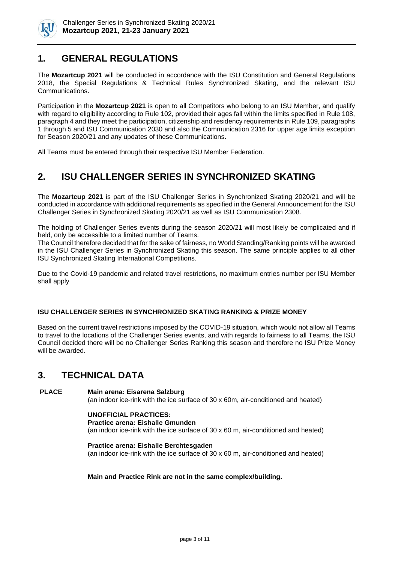

# **1. GENERAL REGULATIONS**

The **Mozartcup 2021** will be conducted in accordance with the ISU Constitution and General Regulations 2018, the Special Regulations & Technical Rules Synchronized Skating, and the relevant ISU Communications.

Participation in the **Mozartcup 2021** is open to all Competitors who belong to an ISU Member, and qualify with regard to eligibility according to Rule 102, provided their ages fall within the limits specified in Rule 108, paragraph 4 and they meet the participation, citizenship and residency requirements in Rule 109, paragraphs 1 through 5 and ISU Communication 2030 and also the Communication 2316 for upper age limits exception for Season 2020/21 and any updates of these Communications.

All Teams must be entered through their respective ISU Member Federation.

# **2. ISU CHALLENGER SERIES IN SYNCHRONIZED SKATING**

The **Mozartcup 2021** is part of the ISU Challenger Series in Synchronized Skating 2020/21 and will be conducted in accordance with additional requirements as specified in the General Announcement for the ISU Challenger Series in Synchronized Skating 2020/21 as well as ISU Communication 2308.

The holding of Challenger Series events during the season 2020/21 will most likely be complicated and if held, only be accessible to a limited number of Teams.

The Council therefore decided that for the sake of fairness, no World Standing/Ranking points will be awarded in the ISU Challenger Series in Synchronized Skating this season. The same principle applies to all other ISU Synchronized Skating International Competitions.

Due to the Covid-19 pandemic and related travel restrictions, no maximum entries number per ISU Member shall apply

#### **ISU CHALLENGER SERIES IN SYNCHRONIZED SKATING RANKING & PRIZE MONEY**

Based on the current travel restrictions imposed by the COVID-19 situation, which would not allow all Teams to travel to the locations of the Challenger Series events, and with regards to fairness to all Teams, the ISU Council decided there will be no Challenger Series Ranking this season and therefore no ISU Prize Money will be awarded.

# **3. TECHNICAL DATA**

#### **PLACE Main arena: Eisarena Salzburg**

(an indoor ice-rink with the ice surface of 30 x 60m, air-conditioned and heated)

#### **UNOFFICIAL PRACTICES:**

#### **Practice arena: Eishalle Gmunden**

(an indoor ice-rink with the ice surface of 30 x 60 m, air-conditioned and heated)

**Practice arena: Eishalle Berchtesgaden** (an indoor ice-rink with the ice surface of 30 x 60 m, air-conditioned and heated)

#### **Main and Practice Rink are not in the same complex/building.**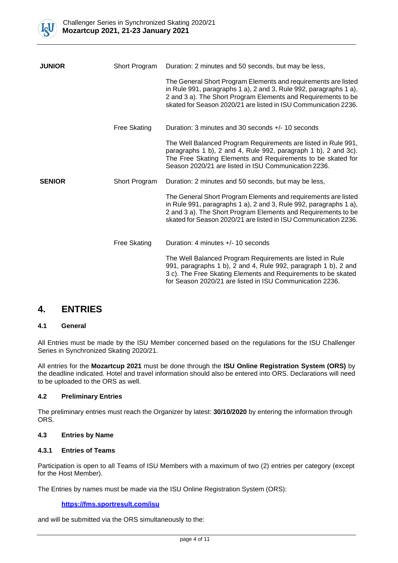

| <b>JUNIOR</b> | Short Program       | Duration: 2 minutes and 50 seconds, but may be less,                                                                                                                                                                                                                    |  |
|---------------|---------------------|-------------------------------------------------------------------------------------------------------------------------------------------------------------------------------------------------------------------------------------------------------------------------|--|
|               |                     | The General Short Program Elements and requirements are listed<br>in Rule 991, paragraphs 1 a), 2 and 3, Rule 992, paragraphs 1 a),<br>2 and 3 a). The Short Program Elements and Requirements to be<br>skated for Season 2020/21 are listed in ISU Communication 2236. |  |
|               | <b>Free Skating</b> | Duration: 3 minutes and 30 seconds +/- 10 seconds                                                                                                                                                                                                                       |  |
|               |                     | The Well Balanced Program Requirements are listed in Rule 991,<br>paragraphs 1 b), 2 and 4, Rule 992, paragraph 1 b), 2 and 3c).<br>The Free Skating Elements and Requirements to be skated for<br>Season 2020/21 are listed in ISU Communication 2236.                 |  |
| <b>SENIOR</b> | Short Program       | Duration: 2 minutes and 50 seconds, but may be less,                                                                                                                                                                                                                    |  |
|               |                     | The General Short Program Elements and requirements are listed<br>in Rule 991, paragraphs 1 a), 2 and 3, Rule 992, paragraphs 1 a),<br>2 and 3 a). The Short Program Elements and Requirements to be<br>skated for Season 2020/21 are listed in ISU Communication 2236. |  |
|               | <b>Free Skating</b> | Duration: 4 minutes $+/- 10$ seconds                                                                                                                                                                                                                                    |  |
|               |                     | The Well Balanced Program Requirements are listed in Rule<br>991, paragraphs 1 b), 2 and 4, Rule 992, paragraph 1 b), 2 and<br>3 c). The Free Skating Elements and Requirements to be skated<br>for Season 2020/21 are listed in ISU Communication 2236.                |  |

### **4. ENTRIES**

#### **4.1 General**

All Entries must be made by the ISU Member concerned based on the regulations for the ISU Challenger Series in Synchronized Skating 2020/21.

All entries for the **Mozartcup 2021** must be done through the **ISU Online Registration System (ORS)** by the deadline indicated. Hotel and travel information should also be entered into ORS. Declarations will need to be uploaded to the ORS as well.

#### **4.2 Preliminary Entries**

The preliminary entries must reach the Organizer by latest: **30/10/2020** by entering the information through ORS.

#### **4.3 Entries by Name**

#### **4.3.1 Entries of Teams**

Participation is open to all Teams of ISU Members with a maximum of two (2) entries per category (except for the Host Member).

The Entries by names must be made via the ISU Online Registration System (ORS):

#### **<https://fms.sportresult.com/isu>**

and will be submitted via the ORS simultaneously to the: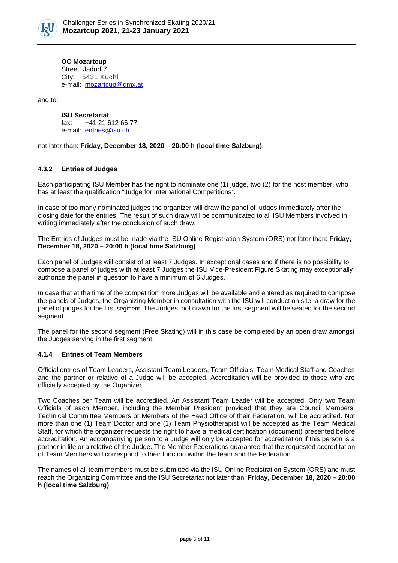

**OC Mozartcup**  Street: Jadorf 7 City: 5431 Kuchl e-mail: mozartcup@gmx.at

and to:

**ISU Secretariat** fax: +41 21 612 66 77 e-mail: [entries@isu.ch](mailto:entries@isu.ch)

not later than: **Friday, December 18, 2020 – 20:00 h (local time Salzburg)**.

#### **4.3.2 Entries of Judges**

Each participating ISU Member has the right to nominate one (1) judge, two (2) for the host member, who has at least the qualification "Judge for International Competitions".

In case of too many nominated judges the organizer will draw the panel of judges immediately after the closing date for the entries. The result of such draw will be communicated to all ISU Members involved in writing immediately after the conclusion of such draw.

The Entries of Judges must be made via the ISU Online Registration System (ORS) not later than: **Friday, December 18, 2020 – 20:00 h (local time Salzburg)**.

Each panel of Judges will consist of at least 7 Judges. In exceptional cases and if there is no possibility to compose a panel of judges with at least 7 Judges the ISU Vice-President Figure Skating may exceptionally authorize the panel in question to have a minimum of 6 Judges.

In case that at the time of the competition more Judges will be available and entered as required to compose the panels of Judges, the Organizing Member in consultation with the ISU will conduct on site, a draw for the panel of judges for the first segment. The Judges, not drawn for the first segment will be seated for the second segment.

The panel for the second segment (Free Skating) will in this case be completed by an open draw amongst the Judges serving in the first segment.

#### **4.1.4 Entries of Team Members**

Official entries of Team Leaders, Assistant Team Leaders, Team Officials, Team Medical Staff and Coaches and the partner or relative of a Judge will be accepted. Accreditation will be provided to those who are officially accepted by the Organizer.

Two Coaches per Team will be accredited. An Assistant Team Leader will be accepted. Only two Team Officials of each Member, including the Member President provided that they are Council Members, Technical Committee Members or Members of the Head Office of their Federation, will be accredited. Not more than one (1) Team Doctor and one (1) Team Physiotherapist will be accepted as the Team Medical Staff, for which the organizer requests the right to have a medical certification (document) presented before accreditation. An accompanying person to a Judge will only be accepted for accreditation if this person is a partner in life or a relative of the Judge. The Member Federations guarantee that the requested accreditation of Team Members will correspond to their function within the team and the Federation.

The names of all team members must be submitted via the ISU Online Registration System (ORS) and must reach the Organizing Committee and the ISU Secretariat not later than: **Friday, December 18, 2020 – 20:00 h (local time Salzburg)**.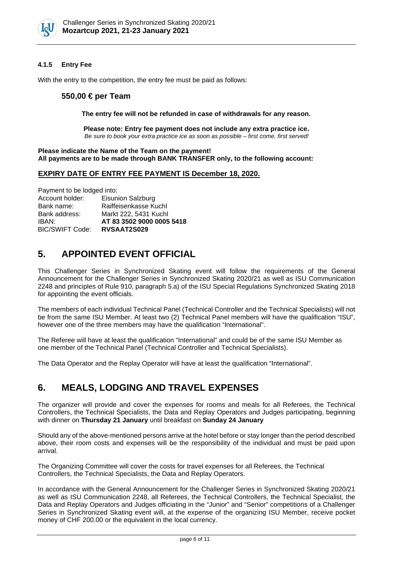

#### **4.1.5 Entry Fee**

With the entry to the competition, the entry fee must be paid as follows:

#### **550,00 € per Team**

**The entry fee will not be refunded in case of withdrawals for any reason.**

**Please note: Entry fee payment does not include any extra practice ice.** *Be sure to book your extra practice ice as soon as possible – first come, first served!*

**Please indicate the Name of the Team on the payment! All payments are to be made through BANK TRANSFER only, to the following account:**

#### **EXPIRY DATE OF ENTRY FEE PAYMENT IS December 18, 2020.**

Payment to be lodged into:

| Account holder:        | <b>Eisunion Salzburg</b>  |
|------------------------|---------------------------|
| Bank name:             | Raiffeisenkasse Kuchl     |
| Bank address:          | Markt 222, 5431 Kuchl     |
| IBAN:                  | AT 83 3502 9000 0005 5418 |
| <b>BIC/SWIFT Code:</b> | RVSAAT2S029               |

# **5. APPOINTED EVENT OFFICIAL**

This Challenger Series in Synchronized Skating event will follow the requirements of the General Announcement for the Challenger Series in Synchronized Skating 2020/21 as well as ISU Communication 2248 and principles of Rule 910, paragraph 5.a) of the ISU Special Regulations Synchronized Skating 2018 for appointing the event officials.

The members of each individual Technical Panel (Technical Controller and the Technical Specialists) will not be from the same ISU Member. At least two (2) Technical Panel members will have the qualification "ISU", however one of the three members may have the qualification "International".

The Referee will have at least the qualification "International" and could be of the same ISU Member as one member of the Technical Panel (Technical Controller and Technical Specialists).

The Data Operator and the Replay Operator will have at least the qualification "International".

# **6. MEALS, LODGING AND TRAVEL EXPENSES**

The organizer will provide and cover the expenses for rooms and meals for all Referees, the Technical Controllers, the Technical Specialists, the Data and Replay Operators and Judges participating, beginning with dinner on **Thursday 21 January** until breakfast on **Sunday 24 January**

Should any of the above-mentioned persons arrive at the hotel before or stay longer than the period described above, their room costs and expenses will be the responsibility of the individual and must be paid upon arrival.

The Organizing Committee will cover the costs for travel expenses for all Referees, the Technical Controllers, the Technical Specialists, the Data and Replay Operators.

In accordance with the General Announcement for the Challenger Series in Synchronized Skating 2020/21 as well as ISU Communication 2248, all Referees, the Technical Controllers, the Technical Specialist, the Data and Replay Operators and Judges officiating in the "Junior" and "Senior" competitions of a Challenger Series in Synchronized Skating event will, at the expense of the organizing ISU Member, receive pocket money of CHF 200.00 or the equivalent in the local currency.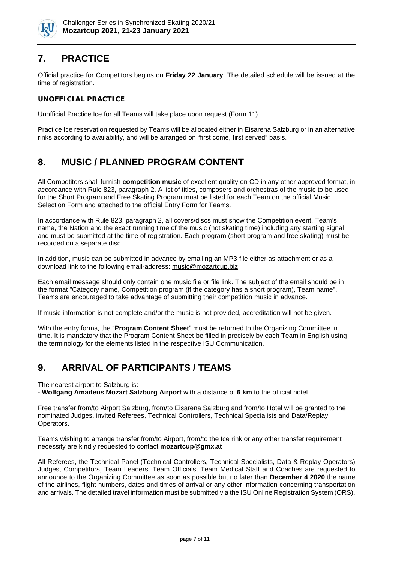

# **7. PRACTICE**

Official practice for Competitors begins on **Friday 22 January**. The detailed schedule will be issued at the time of registration.

#### **UNOFFICIAL PRACTICE**

Unofficial Practice Ice for all Teams will take place upon request (Form 11)

Practice Ice reservation requested by Teams will be allocated either in Eisarena Salzburg or in an alternative rinks according to availability, and will be arranged on "first come, first served" basis.

# **8. MUSIC / PLANNED PROGRAM CONTENT**

All Competitors shall furnish **competition music** of excellent quality on CD in any other approved format, in accordance with Rule 823, paragraph 2. A list of titles, composers and orchestras of the music to be used for the Short Program and Free Skating Program must be listed for each Team on the official Music Selection Form and attached to the official Entry Form for Teams.

In accordance with Rule 823, paragraph 2, all covers/discs must show the Competition event, Team's name, the Nation and the exact running time of the music (not skating time) including any starting signal and must be submitted at the time of registration. Each program (short program and free skating) must be recorded on a separate disc.

In addition, music can be submitted in advance by emailing an MP3-file either as attachment or as a download link to the following email-address: music@mozartcup.biz

Each email message should only contain one music file or file link. The subject of the email should be in the format "Category name, Competition program (if the category has a short program), Team name". Teams are encouraged to take advantage of submitting their competition music in advance.

If music information is not complete and/or the music is not provided, accreditation will not be given.

With the entry forms, the "**Program Content Sheet**" must be returned to the Organizing Committee in time. It is mandatory that the Program Content Sheet be filled in precisely by each Team in English using the terminology for the elements listed in the respective ISU Communication.

# **9. ARRIVAL OF PARTICIPANTS / TEAMS**

The nearest airport to Salzburg is:

- **Wolfgang Amadeus Mozart Salzburg Airport** with a distance of **6 km** to the official hotel.

Free transfer from/to Airport Salzburg, from/to Eisarena Salzburg and from/to Hotel will be granted to the nominated Judges, invited Referees, Technical Controllers, Technical Specialists and Data/Replay Operators.

Teams wishing to arrange transfer from/to Airport, from/to the Ice rink or any other transfer requirement necessity are kindly requested to contact **mozartcup@gmx.at**

All Referees, the Technical Panel (Technical Controllers, Technical Specialists, Data & Replay Operators) Judges, Competitors, Team Leaders, Team Officials, Team Medical Staff and Coaches are requested to announce to the Organizing Committee as soon as possible but no later than **December 4 2020** the name of the airlines, flight numbers, dates and times of arrival or any other information concerning transportation and arrivals. The detailed travel information must be submitted via the ISU Online Registration System (ORS).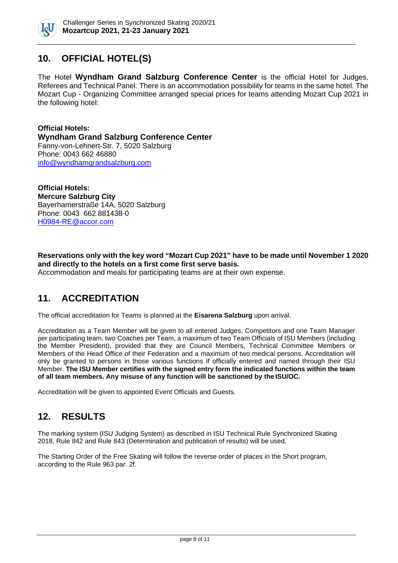

# **10. OFFICIAL HOTEL(S)**

The Hotel **Wyndham Grand Salzburg Conference Center** is the official Hotel for Judges, Referees and Technical Panel. There is an accommodation possibility for teams in the same hotel. The Mozart Cup - Organizing Committee arranged special prices for teams attending Mozart Cup 2021 in the following hotel:

**Official Hotels: Wyndham Grand Salzburg Conference Center** Fanny-von-Lehnert-Str. 7, 5020 Salzburg Phone: 0043 662 46880 [info@wyndhamgrandsalzburg.com](mailto:info@wyndhamgrandsalzburg.com)

**Official Hotels: Mercure Salzburg City**  Bayerhamerstraße 14A, 5020 Salzburg Phone: 0043 662 881438-0 [H0984-RE@accor.com](mailto:H0984-RE@accor.com)

#### **Reservations only with the key word "Mozart Cup 2021" have to be made until November 1 2020 and directly to the hotels on a first come first serve basis.**

Accommodation and meals for participating teams are at their own expense.

# **11. ACCREDITATION**

The official accreditation for Teams is planned at the **Eisarena Salzburg** upon arrival.

Accreditation as a Team Member will be given to all entered Judges, Competitors and one Team Manager per participating team, two Coaches per Team, a maximum of two Team Officials of ISU Members (including the Member President), provided that they are Council Members, Technical Committee Members or Members of the Head Office of their Federation and a maximum of two medical persons. Accreditation will only be granted to persons in those various functions if officially entered and named through their ISU Member. **The ISU Member certifies with the signed entry form the indicated functions within the team of all team members. Any misuse of any function will be sanctioned by the ISU/OC.**

Accreditation will be given to appointed Event Officials and Guests.

# **12. RESULTS**

The marking system (ISU Judging System) as described in ISU Technical Rule Synchronized Skating 2018, Rule 842 and Rule 843 (Determination and publication of results) will be used.

The Starting Order of the Free Skating will follow the reverse order of places in the Short program, according to the Rule 963 par. 2f.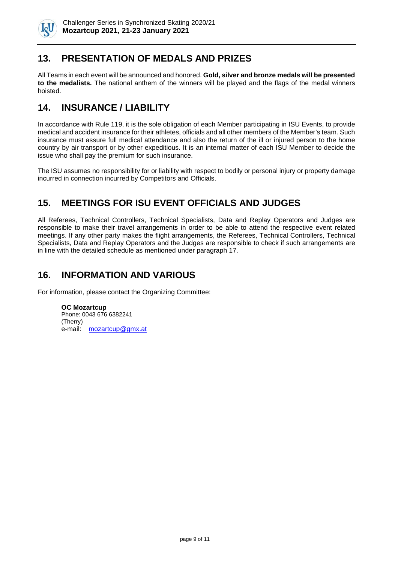

# **13. PRESENTATION OF MEDALS AND PRIZES**

All Teams in each event will be announced and honored. **Gold, silver and bronze medals will be presented to the medalists.** The national anthem of the winners will be played and the flags of the medal winners hoisted.

# **14. INSURANCE / LIABILITY**

In accordance with Rule 119, it is the sole obligation of each Member participating in ISU Events, to provide medical and accident insurance for their athletes, officials and all other members of the Member's team. Such insurance must assure full medical attendance and also the return of the ill or injured person to the home country by air transport or by other expeditious. It is an internal matter of each ISU Member to decide the issue who shall pay the premium for such insurance.

The ISU assumes no responsibility for or liability with respect to bodily or personal injury or property damage incurred in connection incurred by Competitors and Officials.

# **15. MEETINGS FOR ISU EVENT OFFICIALS AND JUDGES**

All Referees, Technical Controllers, Technical Specialists, Data and Replay Operators and Judges are responsible to make their travel arrangements in order to be able to attend the respective event related meetings. If any other party makes the flight arrangements, the Referees, Technical Controllers, Technical Specialists, Data and Replay Operators and the Judges are responsible to check if such arrangements are in line with the detailed schedule as mentioned under paragraph 17.

# **16. INFORMATION AND VARIOUS**

For information, please contact the Organizing Committee:

**OC Mozartcup** Phone: 0043 676 6382241 (Therry) e-mail: [mozartcup@gmx.at](mailto:mozartcup@gmx.at)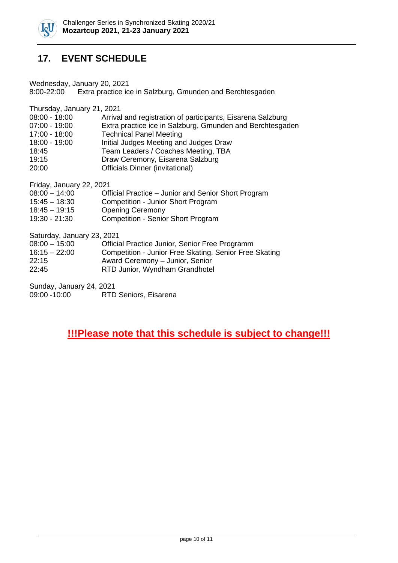

# **17. EVENT SCHEDULE**

Wednesday, January 20, 2021

8:00-22:00 Extra practice ice in Salzburg, Gmunden and Berchtesgaden

Thursday, January 21, 2021

| $07:00 - 19:00$<br>17:00 - 18:00<br><b>Technical Panel Meeting</b><br>Initial Judges Meeting and Judges Draw<br>18:00 - 19:00<br>Team Leaders / Coaches Meeting, TBA<br>18:45<br>19:15<br>Draw Ceremony, Eisarena Salzburg<br><b>Officials Dinner (invitational)</b><br>20:00 | $08:00 - 18:00$ | Arrival and registration of participants, Eisarena Salzburg |
|-------------------------------------------------------------------------------------------------------------------------------------------------------------------------------------------------------------------------------------------------------------------------------|-----------------|-------------------------------------------------------------|
|                                                                                                                                                                                                                                                                               |                 | Extra practice ice in Salzburg, Gmunden and Berchtesgaden   |
|                                                                                                                                                                                                                                                                               |                 |                                                             |
|                                                                                                                                                                                                                                                                               |                 |                                                             |
|                                                                                                                                                                                                                                                                               |                 |                                                             |
|                                                                                                                                                                                                                                                                               |                 |                                                             |
|                                                                                                                                                                                                                                                                               |                 |                                                             |

Friday, January 22, 2021

| $08:00 - 14:00$ | Official Practice – Junior and Senior Short Program |
|-----------------|-----------------------------------------------------|
|-----------------|-----------------------------------------------------|

- 15:45 18:30 Competition Junior Short Program
- 18:45 19:15 Opening Ceremony
- 19:30 21:30 Competition Senior Short Program

Saturday, January 23, 2021

| $08:00 - 15:00$ |  | Official Practice Junior, Senior Free Programm |
|-----------------|--|------------------------------------------------|
|-----------------|--|------------------------------------------------|

- 16:15 22:00 Competition Junior Free Skating, Senior Free Skating
- 22:15 Award Ceremony Junior, Senior
- 22:45 RTD Junior, Wyndham Grandhotel

Sunday, January 24, 2021 09:00 -10:00 RTD Seniors, Eisarena

# **!!!Please note that this schedule is subject to change!!!**